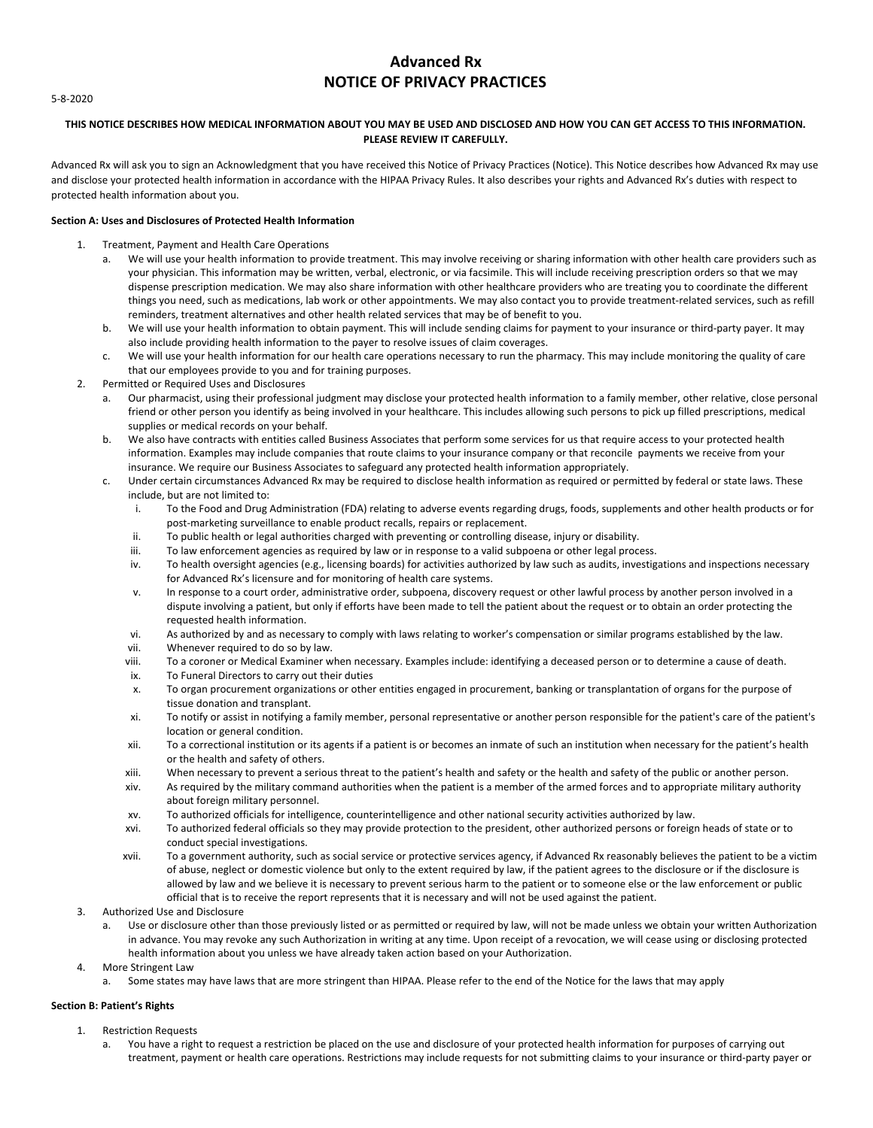# **Advanced Rx NOTICE OF PRIVACY PRACTICES**

## THIS NOTICE DESCRIBES HOW MEDICAL INFORMATION ABOUT YOU MAY BE USED AND DISCLOSED AND HOW YOU CAN GET ACCESS TO THIS INFORMATION. **PLEASE REVIEW IT CAREFULLY.**

Advanced Rx will ask you to sign an Acknowledgment that you have received this Notice of Privacy Practices (Notice). This Notice describes how Advanced Rx may use and disclose your protected health information in accordance with the HIPAA Privacy Rules. It also describes your rights and Advanced Rx's duties with respect to protected health information about you.

### **Section A: Uses and Disclosures of Protected Health Information**

- 1. Treatment, Payment and Health Care Operations
	- a. We will use your health information to provide treatment. This may involve receiving or sharing information with other health care providers such as your physician. This information may be written, verbal, electronic, or via facsimile. This will include receiving prescription orders so that we may dispense prescription medication. We may also share information with other healthcare providers who are treating you to coordinate the different things you need, such as medications, lab work or other appointments. We may also contact you to provide treatment-related services, such as refill reminders, treatment alternatives and other health related services that may be of benefit to you.
	- b. We will use your health information to obtain payment. This will include sending claims for payment to your insurance or third-party payer. It may also include providing health information to the payer to resolve issues of claim coverages.
	- c. We will use your health information for our health care operations necessary to run the pharmacy. This may include monitoring the quality of care that our employees provide to you and for training purposes.
- 2. Permitted or Required Uses and Disclosures
	- a. Our pharmacist, using their professional judgment may disclose your protected health information to a family member, other relative, close personal friend or other person you identify as being involved in your healthcare. This includes allowing such persons to pick up filled prescriptions, medical supplies or medical records on your behalf.
	- b. We also have contracts with entities called Business Associates that perform some services for us that require access to your protected health information. Examples may include companies that route claims to your insurance company or that reconcile payments we receive from your insurance. We require our Business Associates to safeguard any protected health information appropriately.
	- c. Under certain circumstances Advanced Rx may be required to disclose health information as required or permitted by federal or state laws. These include, but are not limited to:
		- i. To the Food and Drug Administration (FDA) relating to adverse events regarding drugs, foods, supplements and other health products or for post-marketing surveillance to enable product recalls, repairs or replacement.
		- ii. To public health or legal authorities charged with preventing or controlling disease, injury or disability.
		- iii. To law enforcement agencies as required by law or in response to a valid subpoena or other legal process.
		- iv. To health oversight agencies (e.g., licensing boards) for activities authorized by law such as audits, investigations and inspections necessary for Advanced Rx's licensure and for monitoring of health care systems.
		- v. In response to a court order, administrative order, subpoena, discovery request or other lawful process by another person involved in a dispute involving a patient, but only if efforts have been made to tell the patient about the request or to obtain an order protecting the requested health information.
		- vi. As authorized by and as necessary to comply with laws relating to worker's compensation or similar programs established by the law.
		- vii. Whenever required to do so by law.
		- viii. To a coroner or Medical Examiner when necessary. Examples include: identifying a deceased person or to determine a cause of death.
		- ix. To Funeral Directors to carry out their duties
		- x. To organ procurement organizations or other entities engaged in procurement, banking or transplantation of organs for the purpose of tissue donation and transplant.
		- xi. To notify or assist in notifying a family member, personal representative or another person responsible for the patient's care of the patient's location or general condition.
		- xii. To a correctional institution or its agents if a patient is or becomes an inmate of such an institution when necessary for the patient's health or the health and safety of others.
		- xiii. When necessary to prevent a serious threat to the patient's health and safety or the health and safety of the public or another person.
		- xiv. As required by the military command authorities when the patient is a member of the armed forces and to appropriate military authority about foreign military personnel.
		- xv. To authorized officials for intelligence, counterintelligence and other national security activities authorized by law.
		- xvi. To authorized federal officials so they may provide protection to the president, other authorized persons or foreign heads of state or to conduct special investigations.
		- xvii. To a government authority, such as social service or protective services agency, if Advanced Rx reasonably believes the patient to be a victim of abuse, neglect or domestic violence but only to the extent required by law, if the patient agrees to the disclosure or if the disclosure is allowed by law and we believe it is necessary to prevent serious harm to the patient or to someone else or the law enforcement or public official that is to receive the report represents that it is necessary and will not be used against the patient.
- 3. Authorized Use and Disclosure
	- a. Use or disclosure other than those previously listed or as permitted or required by law, will not be made unless we obtain your written Authorization in advance. You may revoke any such Authorization in writing at any time. Upon receipt of a revocation, we will cease using or disclosing protected health information about you unless we have already taken action based on your Authorization.
- 4. More Stringent Law
	- a. Some states may have laws that are more stringent than HIPAA. Please refer to the end of the Notice for the laws that may apply

#### **Section B: Patient's Rights**

- 1. Restriction Requests
	- You have a right to request a restriction be placed on the use and disclosure of your protected health information for purposes of carrying out treatment, payment or health care operations. Restrictions may include requests for not submitting claims to your insurance or third-party payer or